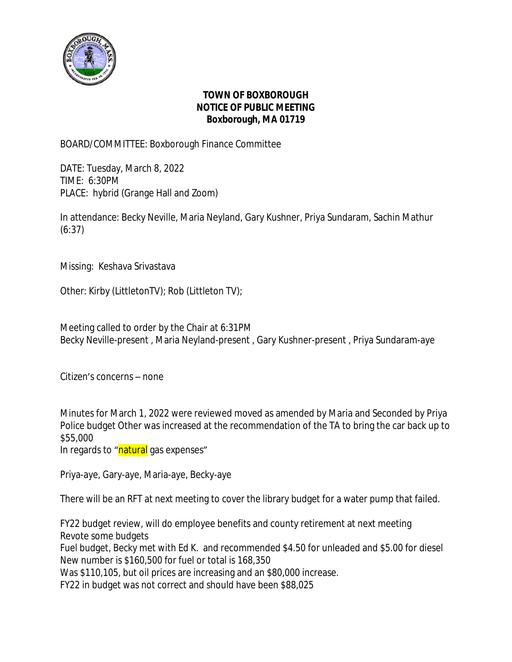

## **TOWN OF BOXBOROUGH NOTICE OF PUBLIC MEETING Boxborough, MA 01719**

BOARD/COMMITTEE: Boxborough Finance Committee

DATE: Tuesday, March 8, 2022 TIME: 6:30PM PLACE: hybrid (Grange Hall and Zoom)

In attendance: Becky Neville, Maria Neyland, Gary Kushner, Priya Sundaram, Sachin Mathur (6:37)

Missing: Keshava Srivastava

Other: Kirby (LittletonTV); Rob (Littleton TV);

Meeting called to order by the Chair at 6:31PM Becky Neville-present , Maria Neyland-present , Gary Kushner-present , Priya Sundaram-aye

Citizen's concerns – none

Minutes for March 1, 2022 were reviewed moved as amended by Maria and Seconded by Priya Police budget Other was increased at the recommendation of the TA to bring the car back up to \$55,000

In regards to "natural gas expenses"

Priya-aye, Gary-aye, Maria-aye, Becky-aye

There will be an RFT at next meeting to cover the library budget for a water pump that failed.

FY22 budget review, will do employee benefits and county retirement at next meeting Revote some budgets

Fuel budget, Becky met with Ed K. and recommended \$4.50 for unleaded and \$5.00 for diesel New number is \$160,500 for fuel or total is 168,350

Was \$110,105, but oil prices are increasing and an \$80,000 increase.

FY22 in budget was not correct and should have been \$88,025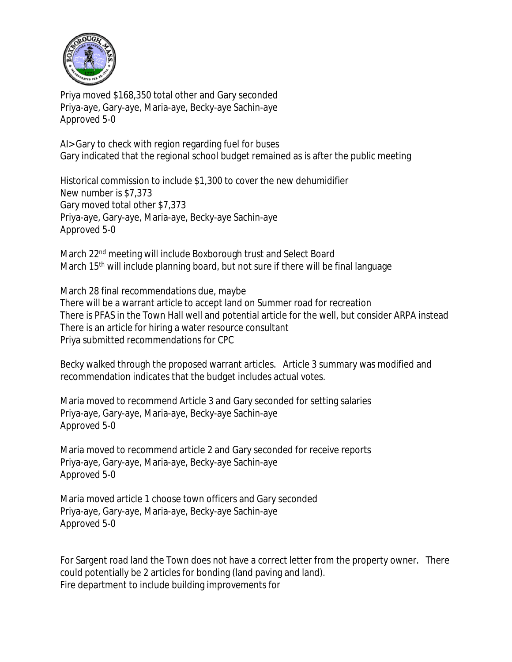

Priya moved \$168,350 total other and Gary seconded Priya-aye, Gary-aye, Maria-aye, Becky-aye Sachin-aye Approved 5-0

AI> Gary to check with region regarding fuel for buses Gary indicated that the regional school budget remained as is after the public meeting

Historical commission to include \$1,300 to cover the new dehumidifier New number is \$7,373 Gary moved total other \$7,373 Priya-aye, Gary-aye, Maria-aye, Becky-aye Sachin-aye Approved 5-0

March 22<sup>nd</sup> meeting will include Boxborough trust and Select Board March 15<sup>th</sup> will include planning board, but not sure if there will be final language

March 28 final recommendations due, maybe There will be a warrant article to accept land on Summer road for recreation There is PFAS in the Town Hall well and potential article for the well, but consider ARPA instead There is an article for hiring a water resource consultant Priya submitted recommendations for CPC

Becky walked through the proposed warrant articles. Article 3 summary was modified and recommendation indicates that the budget includes actual votes.

Maria moved to recommend Article 3 and Gary seconded for setting salaries Priya-aye, Gary-aye, Maria-aye, Becky-aye Sachin-aye Approved 5-0

Maria moved to recommend article 2 and Gary seconded for receive reports Priya-aye, Gary-aye, Maria-aye, Becky-aye Sachin-aye Approved 5-0

Maria moved article 1 choose town officers and Gary seconded Priya-aye, Gary-aye, Maria-aye, Becky-aye Sachin-aye Approved 5-0

For Sargent road land the Town does not have a correct letter from the property owner. There could potentially be 2 articles for bonding (land paving and land). Fire department to include building improvements for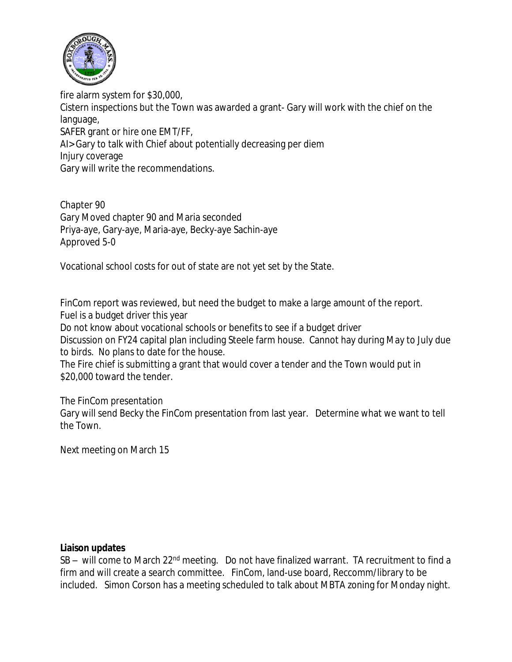

fire alarm system for \$30,000, Cistern inspections but the Town was awarded a grant- Gary will work with the chief on the language, SAFER grant or hire one EMT/FF, AI> Gary to talk with Chief about potentially decreasing per diem Injury coverage Gary will write the recommendations.

Chapter 90 Gary Moved chapter 90 and Maria seconded Priya-aye, Gary-aye, Maria-aye, Becky-aye Sachin-aye Approved 5-0

Vocational school costs for out of state are not yet set by the State.

FinCom report was reviewed, but need the budget to make a large amount of the report. Fuel is a budget driver this year

Do not know about vocational schools or benefits to see if a budget driver

Discussion on FY24 capital plan including Steele farm house. Cannot hay during May to July due to birds. No plans to date for the house.

The Fire chief is submitting a grant that would cover a tender and the Town would put in \$20,000 toward the tender.

The FinCom presentation Gary will send Becky the FinCom presentation from last year. Determine what we want to tell the Town.

Next meeting on March 15

## **Liaison updates**

SB – will come to March 22<sup>nd</sup> meeting. Do not have finalized warrant. TA recruitment to find a firm and will create a search committee. FinCom, land-use board, Reccomm/library to be included. Simon Corson has a meeting scheduled to talk about MBTA zoning for Monday night.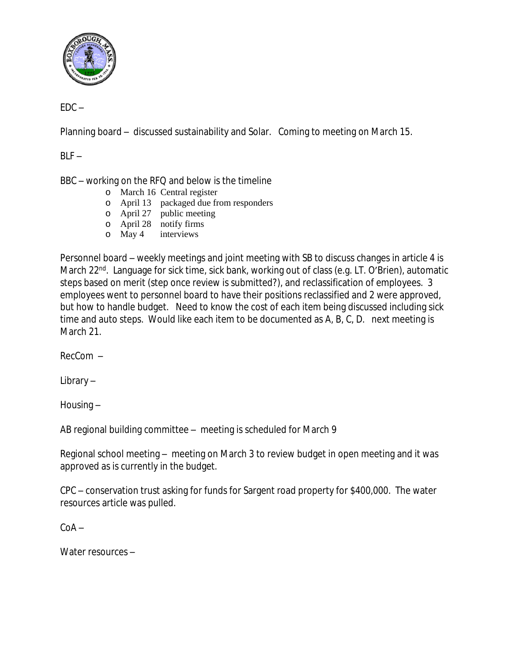

 $EDC -$ 

Planning board – discussed sustainability and Solar. Coming to meeting on March 15.

 $BLF -$ 

BBC – working on the RFQ and below is the timeline

- o March 16 Central register
- o April 13 packaged due from responders
- o April 27 public meeting
- o April 28 notify firms
- o May 4 interviews

Personnel board – weekly meetings and joint meeting with SB to discuss changes in article 4 is March 22<sup>nd</sup>. Language for sick time, sick bank, working out of class (e.g. LT. O'Brien), automatic steps based on merit (step once review is submitted?), and reclassification of employees. 3 employees went to personnel board to have their positions reclassified and 2 were approved, but how to handle budget. Need to know the cost of each item being discussed including sick time and auto steps. Would like each item to be documented as A, B, C, D. next meeting is March 21.

RecCom –

Library –

Housing –

AB regional building committee – meeting is scheduled for March 9

Regional school meeting – meeting on March 3 to review budget in open meeting and it was approved as is currently in the budget.

CPC – conservation trust asking for funds for Sargent road property for \$400,000. The water resources article was pulled.

 $C<sub>0</sub>A -$ 

Water resources –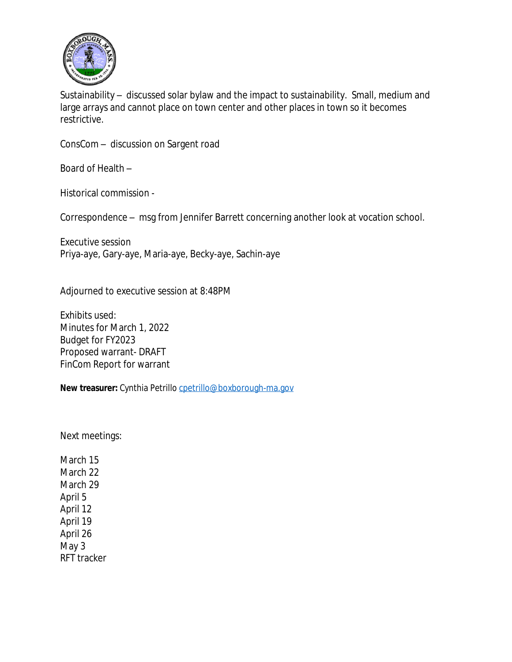

Sustainability – discussed solar bylaw and the impact to sustainability. Small, medium and large arrays and cannot place on town center and other places in town so it becomes restrictive.

ConsCom – discussion on Sargent road

Board of Health –

Historical commission -

Correspondence – msg from Jennifer Barrett concerning another look at vocation school.

Executive session Priya-aye, Gary-aye, Maria-aye, Becky-aye, Sachin-aye

Adjourned to executive session at 8:48PM

Exhibits used: Minutes for March 1, 2022 Budget for FY2023 Proposed warrant- DRAFT FinCom Report for warrant

**New treasurer:** Cynthia Petrillo [cpetrillo@boxborough-ma.gov](mailto:cpetrillo@boxborough-ma.gov)

[Next meetings:](mailto:cpetrillo@boxborough-ma.gov)

[March 15](mailto:cpetrillo@boxborough-ma.gov) [March 22](mailto:cpetrillo@boxborough-ma.gov) [March 29](mailto:cpetrillo@boxborough-ma.gov) [April 5](mailto:cpetrillo@boxborough-ma.gov) [April 12](mailto:cpetrillo@boxborough-ma.gov) [April 19](mailto:cpetrillo@boxborough-ma.gov) [April 26](mailto:cpetrillo@boxborough-ma.gov) [May 3](mailto:cpetrillo@boxborough-ma.gov) [RFT tracker](mailto:cpetrillo@boxborough-ma.gov)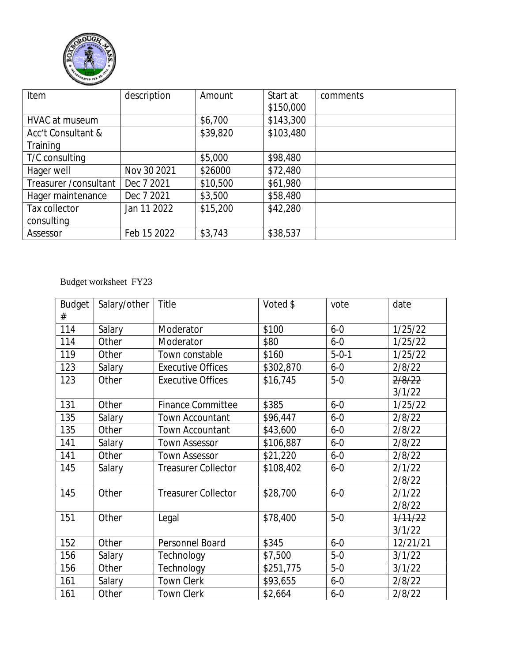

| Item                   | description | Amount   | Start at  | comments |
|------------------------|-------------|----------|-----------|----------|
|                        |             |          | \$150,000 |          |
| HVAC at museum         |             | \$6,700  | \$143,300 |          |
| Acc't Consultant &     |             | \$39,820 | \$103,480 |          |
| Training               |             |          |           |          |
| T/C consulting         |             | \$5,000  | \$98,480  |          |
| Hager well             | Nov 30 2021 | \$26000  | \$72,480  |          |
| Treasurer / consultant | Dec 7 2021  | \$10,500 | \$61,980  |          |
| Hager maintenance      | Dec 7 2021  | \$3,500  | \$58,480  |          |
| Tax collector          | Jan 11 2022 | \$15,200 | \$42,280  |          |
| consulting             |             |          |           |          |
| Assessor               | Feb 15 2022 | \$3,743  | \$38,537  |          |

## Budget worksheet FY23

| <b>Budget</b> | Salary/other | Title                      | Voted \$  | vote        | date     |
|---------------|--------------|----------------------------|-----------|-------------|----------|
| #             |              |                            |           |             |          |
| 114           | Salary       | Moderator                  | \$100     | $6 - 0$     | 1/25/22  |
| 114           | Other        | Moderator                  | \$80      | $6 - 0$     | 1/25/22  |
| 119           | Other        | Town constable             | \$160     | $5 - 0 - 1$ | 1/25/22  |
| 123           | Salary       | <b>Executive Offices</b>   | \$302,870 | $6 - 0$     | 2/8/22   |
| 123           | Other        | <b>Executive Offices</b>   | \$16,745  | $5-0$       | 2/8/22   |
|               |              |                            |           |             | 3/1/22   |
| 131           | Other        | <b>Finance Committee</b>   | \$385     | $6 - 0$     | 1/25/22  |
| 135           | Salary       | <b>Town Accountant</b>     | \$96,447  | $6 - 0$     | 2/8/22   |
| 135           | Other        | <b>Town Accountant</b>     | \$43,600  | $6 - 0$     | 2/8/22   |
| 141           | Salary       | <b>Town Assessor</b>       | \$106,887 | $6 - 0$     | 2/8/22   |
| 141           | Other        | <b>Town Assessor</b>       | \$21,220  | $6 - 0$     | 2/8/22   |
| 145           | Salary       | <b>Treasurer Collector</b> | \$108,402 | $6 - 0$     | 2/1/22   |
|               |              |                            |           |             | 2/8/22   |
| 145           | Other        | <b>Treasurer Collector</b> | \$28,700  | $6 - 0$     | 2/1/22   |
|               |              |                            |           |             | 2/8/22   |
| 151           | Other        | Legal                      | \$78,400  | $5-0$       | 1/11/22  |
|               |              |                            |           |             | 3/1/22   |
| 152           | Other        | Personnel Board            | \$345     | $6 - 0$     | 12/21/21 |
| 156           | Salary       | Technology                 | \$7,500   | $5-0$       | 3/1/22   |
| 156           | Other        | Technology                 | \$251,775 | $5-0$       | 3/1/22   |
| 161           | Salary       | <b>Town Clerk</b>          | \$93,655  | $6 - 0$     | 2/8/22   |
| 161           | Other        | <b>Town Clerk</b>          | \$2,664   | $6 - 0$     | 2/8/22   |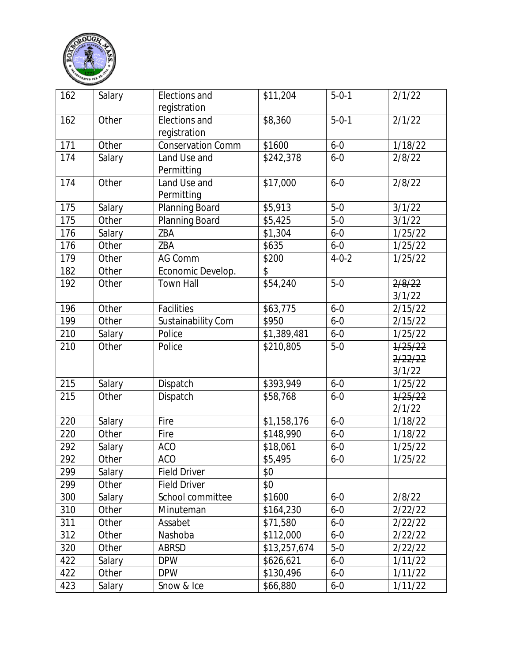

| 162 | Salary | Elections and<br>registration | \$11,204     | $5 - 0 - 1$ | 2/1/22           |
|-----|--------|-------------------------------|--------------|-------------|------------------|
| 162 | Other  | Elections and<br>registration | \$8,360      | $5 - 0 - 1$ | 2/1/22           |
| 171 | Other  | <b>Conservation Comm</b>      | \$1600       | $6 - 0$     | 1/18/22          |
| 174 | Salary | Land Use and<br>Permitting    | \$242,378    | $6 - 0$     | 2/8/22           |
| 174 | Other  | Land Use and<br>Permitting    | \$17,000     | $6 - 0$     | 2/8/22           |
| 175 | Salary | Planning Board                | \$5,913      | $5-0$       | 3/1/22           |
| 175 | Other  | Planning Board                | \$5,425      | $5-0$       | 3/1/22           |
| 176 | Salary | ZBA                           | \$1,304      | $6 - 0$     | 1/25/22          |
| 176 | Other  | ZBA                           | \$635        | $6 - 0$     | 1/25/22          |
| 179 | Other  | AG Comm                       | \$200        | $4 - 0 - 2$ | 1/25/22          |
| 182 | Other  | Economic Develop.             | \$           |             |                  |
| 192 | Other  | <b>Town Hall</b>              | \$54,240     | $5-0$       | 2/8/22<br>3/1/22 |
| 196 | Other  | <b>Facilities</b>             | \$63,775     | $6 - 0$     | 2/15/22          |
| 199 | Other  | Sustainability Com            | \$950        | $6 - 0$     | 2/15/22          |
| 210 | Salary | Police                        | \$1,389,481  | $6 - 0$     | 1/25/22          |
| 210 | Other  | Police                        | \$210,805    | $5-0$       | 1/25/22          |
|     |        |                               |              |             | 2/22/22          |
|     |        |                               |              |             | 3/1/22           |
| 215 | Salary | Dispatch                      | \$393,949    | $6 - 0$     | 1/25/22          |
| 215 | Other  | Dispatch                      | \$58,768     | $6 - 0$     | 1/25/22          |
|     |        |                               |              |             | 2/1/22           |
| 220 | Salary | Fire                          | \$1,158,176  | $6 - 0$     | 1/18/22          |
| 220 | Other  | Fire                          | \$148,990    | $6 - 0$     | 1/18/22          |
| 292 | Salary | <b>ACO</b>                    | \$18,061     | $6 - 0$     | 1/25/22          |
| 292 | Other  | <b>ACO</b>                    | \$5,495      | $6 - 0$     | 1/25/22          |
| 299 | Salary | <b>Field Driver</b>           | \$0          |             |                  |
| 299 | Other  | <b>Field Driver</b>           | \$0          |             |                  |
| 300 | Salary | School committee              | \$1600       | $6 - 0$     | 2/8/22           |
| 310 | Other  | Minuteman                     | \$164,230    | $6 - 0$     | 2/22/22          |
| 311 | Other  | Assabet                       | \$71,580     | $6 - 0$     | 2/22/22          |
| 312 | Other  | Nashoba                       | \$112,000    | $6 - 0$     | 2/22/22          |
| 320 | Other  | <b>ABRSD</b>                  | \$13,257,674 | $5-0$       | 2/22/22          |
| 422 | Salary | <b>DPW</b>                    | \$626,621    | $6 - 0$     | 1/11/22          |
| 422 | Other  | <b>DPW</b>                    | \$130,496    | $6 - 0$     | 1/11/22          |
| 423 | Salary | Snow & Ice                    | \$66,880     | $6 - 0$     | 1/11/22          |